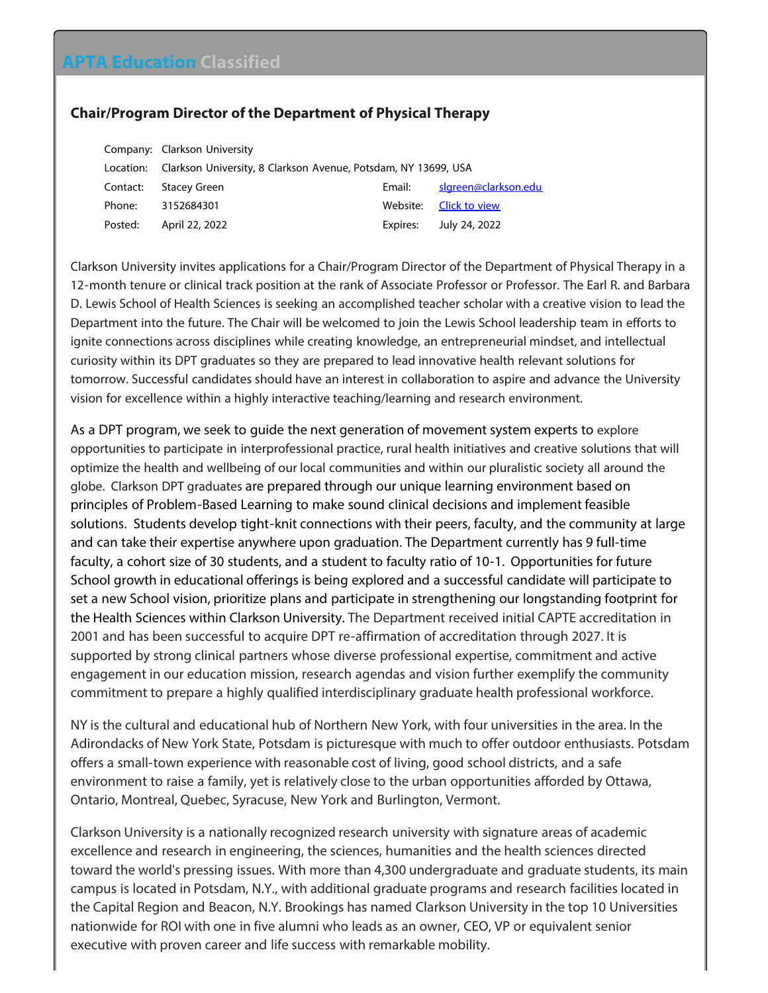## **APTA Education Classified**

## **Chair/Program Director of the Department of Physical Therapy**

|          | Company: Clarkson University                                             |          |                        |
|----------|--------------------------------------------------------------------------|----------|------------------------|
|          | Location: Clarkson University, 8 Clarkson Avenue, Potsdam, NY 13699, USA |          |                        |
| Contact: | <b>Stacey Green</b>                                                      | Email:   | slgreen@clarkson.edu   |
| Phone:   | 3152684301                                                               |          | Website: Click to view |
| Posted:  | April 22, 2022                                                           | Expires: | July 24, 2022          |

Clarkson University invites applications for a Chair/Program Director of the Department of Physical Therapy in a 12-month tenure or clinical track position at the rank of Associate Professor or Professor. The Earl R. and Barbara D. Lewis School of Health Sciences is seeking an accomplished teacher scholar with a creative vision to lead the Department into the future. The Chair will be welcomed to join the Lewis School leadership team in efforts to ignite connections across disciplines while creating knowledge, an entrepreneurial mindset, and intellectual curiosity within its DPT graduates so they are prepared to lead innovative health relevant solutions for tomorrow. Successful candidates should have an interest in collaboration to aspire and advance the University vision for excellence within a highly interactive teaching/learning and research environment.

As a DPT program, we seek to guide the next generation of movement system experts to explore opportunities to participate in interprofessional practice, rural health initiatives and creative solutions that will optimize the health and wellbeing of our local communities and within our pluralistic society all around the globe. Clarkson DPT graduates are prepared through our unique learning environment based on principles of Problem-Based Learning to make sound clinical decisions and implement feasible solutions. Students develop tight-knit connections with their peers, faculty, and the community at large and can take their expertise anywhere upon graduation. The Department currently has 9 full-time faculty, a cohort size of 30 students, and a student to faculty ratio of 10-1. Opportunities for future School growth in educational offerings is being explored and a successful candidate will participate to set a new School vision, prioritize plans and participate in strengthening our longstanding footprint for the Health Sciences within Clarkson University. The Department received initial CAPTE accreditation in 2001 and has been successful to acquire DPT re-affirmation of accreditation through 2027. It is supported by strong clinical partners whose diverse professional expertise, commitment and active engagement in our education mission, research agendas and vision further exemplify the community commitment to prepare a highly qualified interdisciplinary graduate health professional workforce.

NY is the cultural and educational hub of Northern New York, with four universities in the area. In the Adirondacks of New York State, Potsdam is picturesque with much to offer outdoor enthusiasts. Potsdam offers a small-town experience with reasonable cost of living, good school districts, and a safe environment to raise a family, yet is relatively close to the urban opportunities afforded by Ottawa, Ontario, Montreal, Quebec, Syracuse, New York and Burlington, Vermont.

Clarkson University is a nationally recognized research university with signature areas of academic excellence and research in engineering, the sciences, humanities and the health sciences directed toward the world's pressing issues. With more than 4,300 undergraduate and graduate students, its main campus is located in Potsdam, N.Y., with additional graduate programs and research facilities located in the Capital Region and Beacon, N.Y. Brookings has named Clarkson University in the top 10 Universities nationwide for ROI with one in five alumni who leads as an owner, CEO, VP or equivalent senior executive with proven career and life success with remarkable mobility.